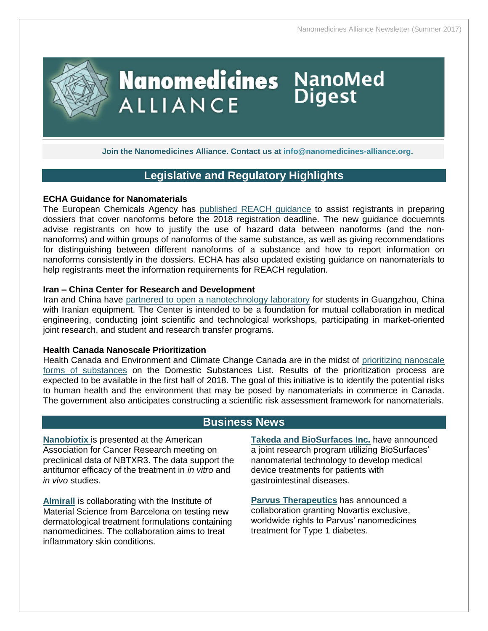

**Join the Nanomedicines Alliance. Contact us at [info@nanomedicines-alliance.org.](mailto:info@nanomedicines-alliance.org)**

## **Legislative and Regulatory Highlights**

### **ECHA Guidance for Nanomaterials**

The European Chemicals Agency has [published REACH guidance](https://echa.europa.eu/-/reach-guidance-for-nanomaterials-published) to assist registrants in preparing dossiers that cover nanoforms before the 2018 registration deadline. The new guidance docuemnts advise registrants on how to justify the use of hazard data between nanoforms (and the nonnanoforms) and within groups of nanoforms of the same substance, as well as giving recommendations for distinguishing between different nanoforms of a substance and how to report information on nanoforms consistently in the dossiers. ECHA has also updated existing guidance on nanomaterials to help registrants meet the information requirements for REACH regulation.

### **Iran – China Center for Research and Development**

Iran and China have [partnered to open a nanotechnology laboratory](http://en.mehrnews.com/news/126723/Iran-opens-medical-R-D-center-in-China) for students in Guangzhou, China with Iranian equipment. The Center is intended to be a foundation for mutual collaboration in medical engineering, conducting joint scientific and technological workshops, participating in market-oriented joint research, and student and research transfer programs.

#### **Health Canada Nanoscale Prioritization**

Health Canada and Environment and Climate Change Canada are in the midst of [prioritizing nanoscale](http://www.ec.gc.ca/ese-ees/default.asp?lang=En&n=6044455E-1)  [forms of substances](http://www.ec.gc.ca/ese-ees/default.asp?lang=En&n=6044455E-1) on the Domestic Substances List. Results of the prioritization process are expected to be available in the first half of 2018. The goal of this initiative is to identify the potential risks to human health and the environment that may be posed by nanomaterials in commerce in Canada. The government also anticipates constructing a scientific risk assessment framework for nanomaterials.

### **Business News**

**[Nanobiotix](http://www.businesswire.com/news/home/20170306006507/en/Nanobiotix-Present-Preclinical-Data-Nanoparticle-Radioenhancer-NBTXR3)** is presented at the American Association for Cancer Research meeting on preclinical data of NBTXR3. The data support the antitumor efficacy of the treatment in *in vitro* and *in vivo* studies.

**[Almirall](https://www.thepharmaletter.com/article/almirall-looks-to-nanotechnology-to-improve-dermatology-products)** is collaborating with the Institute of Material Science from Barcelona on testing new dermatological treatment formulations containing nanomedicines. The collaboration aims to treat inflammatory skin conditions.

**[Takeda and BioSurfaces Inc.](http://www.businesswire.com/news/home/20170725005109/en/Takeda-BioSurfaces-Announce-Joint-Research-Program-Explore)** have announced a joint research program utilizing BioSurfaces' nanomaterial technology to develop medical device treatments for patients with gastrointestinal diseases.

**[Parvus Therapeutics](http://www.fiercebiotech.com/biotech/novartis-signs-collab-deal-tiny-parvus-for-diabetes-nanomedicine)** has announced a collaboration granting Novartis exclusive, worldwide rights to Parvus' nanomedicines treatment for Type 1 diabetes.